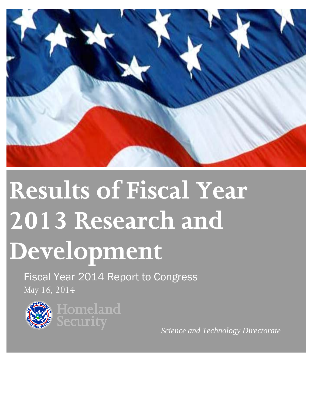

# **Results of Fiscal Year 2013 Research and Development**

Fiscal Year 2014 Report to Congress *May 16, 2014*





*Science and Technology Directorate*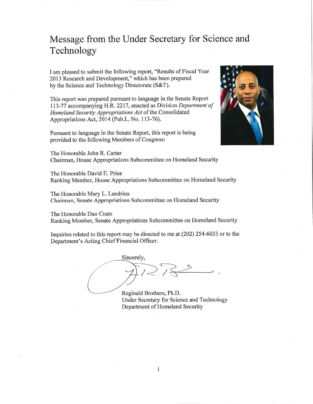# Message from the Under Secretary for Science and Technology

I am pleased to submit the following report, "Results of Fiscal Year 2013 Research and Development," which has been prepared by the Science and Technology Directorate (S&T).

This report was prepared pursuant to language in the Senate Report 113-77 accompanying H.R. 2217, enacted as Division Department of Homeland Security Appropriations Act of the Consolidated Appropriations Act, 2014 (Pub.L. No. 113-76).

Pursuant to language in the Senate Report, this report is being provided to the following Members of Congress:



The Honorable John R. Carter Chairman, House Appropriations Subcommittee on Homeland Security

The Honorable David E. Price Ranking Member, House Appropriations Subcommittee on Homeland Security

The Honorable Mary L. Landrieu Chairman, Senate Appropriations Subcommittee on Homeland Security

The Honorable Dan Coats Ranking Member, Senate Appropriations Subcommittee on Homeland Security

Inquiries related to this report may be directed to me at (202) 254-6033 or to the Department's Acting Chief Financial Officer.

Sincerely,

 $\mathbf{i}$ 

Reginald Brothers, Ph.D. Under Secretary for Science and Technology Department of Homeland Security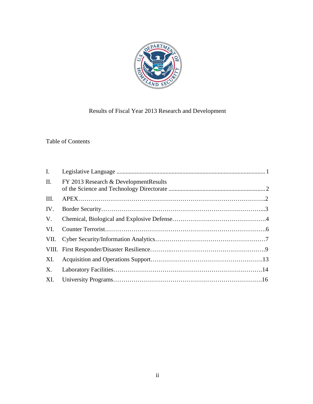

# Results of Fiscal Year 2013 Research and Development

# Table of Contents

| I.   |                                        |
|------|----------------------------------------|
| II.  | FY 2013 Research & Development Results |
| III. |                                        |
| IV.  |                                        |
| V.   |                                        |
| VI.  |                                        |
|      |                                        |
|      |                                        |
|      |                                        |
|      |                                        |
|      |                                        |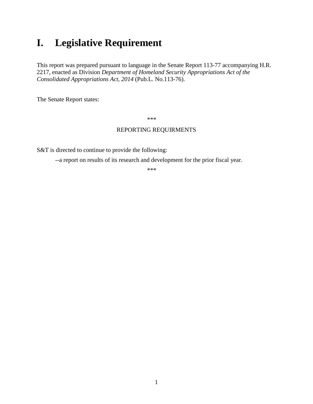# **I. Legislative Requirement**

This report was prepared pursuant to language in the Senate Report 113-77 accompanying H.R. 2217, enacted as Division *Department of Homeland Security Appropriations Act of the Consolidated Appropriations Act, 2014* (Pub.L. No.113-76).

The Senate Report states:

\*\*\*

# REPORTING REQUIRMENTS

S&T is directed to continue to provide the following:

--a report on results of its research and development for the prior fiscal year.

\*\*\*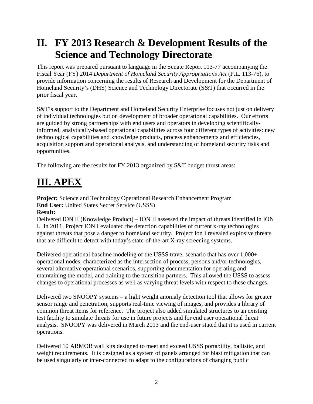# **II. FY 2013 Research & Development Results of the Science and Technology Directorate**

This report was prepared pursuant to language in the Senate Report 113-77 accompanying the Fiscal Year (FY) 2014 *Department of Homeland Security Appropriations Act* (P.L. 113-76), to provide information concerning the results of Research and Development for the Department of Homeland Security's (DHS) Science and Technology Directorate (S&T) that occurred in the prior fiscal year.

S&T's support to the Department and Homeland Security Enterprise focuses not just on delivery of individual technologies but on development of broader operational capabilities. Our efforts are guided by strong partnerships with end users and operators in developing scientificallyinformed, analytically-based operational capabilities across four different types of activities: new technological capabilities and knowledge products, process enhancements and efficiencies, acquisition support and operational analysis, and understanding of homeland security risks and opportunities.

The following are the results for FY 2013 organized by S&T budget thrust areas:

# **III. APEX**

**Project:** Science and Technology Operational Research Enhancement Program **End User:** United States Secret Service (USSS) **Result:**

Delivered ION II (Knowledge Product) – ION II assessed the impact of threats identified in ION I. In 2011, Project ION I evaluated the detection capabilities of current x-ray technologies against threats that pose a danger to homeland security. Project Ion I revealed explosive threats that are difficult to detect with today's state-of-the-art X-ray screening systems.

Delivered operational baseline modeling of the USSS travel scenario that has over 1,000+ operational nodes, characterized as the intersection of process, persons and/or technologies, several alternative operational scenarios, supporting documentation for operating and maintaining the model, and training to the transition partners. This allowed the USSS to assess changes to operational processes as well as varying threat levels with respect to these changes.

Delivered two SNOOPY systems – a light weight anomaly detection tool that allows for greater sensor range and penetration, supports real-time viewing of images, and provides a library of common threat items for reference. The project also added simulated structures to an existing test facility to simulate threats for use in future projects and for end user operational threat analysis. SNOOPY was delivered in March 2013 and the end-user stated that it is used in current operations.

Delivered 10 ARMOR wall kits designed to meet and exceed USSS portability, ballistic, and weight requirements. It is designed as a system of panels arranged for blast mitigation that can be used singularly or inter-connected to adapt to the configurations of changing public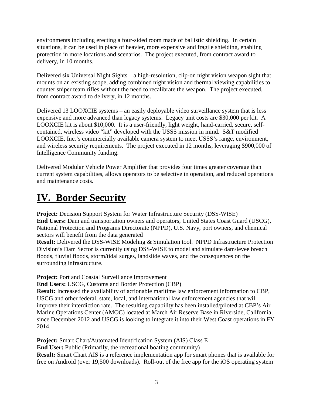environments including erecting a four-sided room made of ballistic shielding. In certain situations, it can be used in place of heavier, more expensive and fragile shielding, enabling protection in more locations and scenarios. The project executed, from contract award to delivery, in 10 months.

Delivered six Universal Night Sights – a high-resolution, clip-on night vision weapon sight that mounts on an existing scope, adding combined night vision and thermal viewing capabilities to counter sniper team rifles without the need to recalibrate the weapon. The project executed, from contract award to delivery, in 12 months.

Delivered 13 LOOXCIE systems – an easily deployable video surveillance system that is less expensive and more advanced than legacy systems. Legacy unit costs are \$30,000 per kit. A LOOXCIE kit is about \$10,000. It is a user-friendly, light weight, hand-carried, secure, selfcontained, wireless video "kit" developed with the USSS mission in mind. S&T modified LOOXCIE, Inc.'s commercially available camera system to meet USSS's range, environment, and wireless security requirements. The project executed in 12 months, leveraging \$900,000 of Intelligence Community funding.

Delivered Modular Vehicle Power Amplifier that provides four times greater coverage than current system capabilities, allows operators to be selective in operation, and reduced operations and maintenance costs.

# **IV. Border Security**

**Project:** Decision Support System for Water Infrastructure Security (DSS-WISE) **End Users:** Dam and transportation owners and operators, United States Coast Guard (USCG), National Protection and Programs Directorate (NPPD), U.S. Navy, port owners, and chemical sectors will benefit from the data generated

**Result:** Delivered the DSS-WISE Modeling & Simulation tool. NPPD Infrastructure Protection Division's Dam Sector is currently using DSS-WISE to model and simulate dam/levee breach floods, fluvial floods, storm/tidal surges, landslide waves, and the consequences on the surrounding infrastructure.

**Project:** Port and Coastal Surveillance Improvement

**End Users:** USCG, Customs and Border Protection (CBP)

**Result:** Increased the availability of actionable maritime law enforcement information to CBP, USCG and other federal, state, local, and international law enforcement agencies that will improve their interdiction rate. The resulting capability has been installed/piloted at CBP's Air Marine Operations Center (AMOC) located at March Air Reserve Base in Riverside, California, since December 2012 and USCG is looking to integrate it into their West Coast operations in FY 2014.

**Project:** Smart Chart/Automated Identification System (AIS) Class E **End User:** Public (Primarily, the recreational boating community) **Result:** Smart Chart AIS is a reference implementation app for smart phones that is available for free on Android (over 19,500 downloads). Roll-out of the free app for the iOS operating system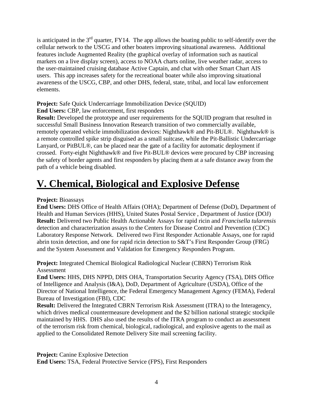is anticipated in the  $3<sup>rd</sup>$  quarter, FY14. The app allows the boating public to self-identify over the cellular network to the USCG and other boaters improving situational awareness. Additional features include Augmented Reality (the graphical overlay of information such as nautical markers on a live display screen), access to NOAA charts online, live weather radar, access to the user-maintained cruising database Active Captain, and chat with other Smart Chart AIS users. This app increases safety for the recreational boater while also improving situational awareness of the USCG, CBP, and other DHS, federal, state, tribal, and local law enforcement elements.

# **Project:** Safe Quick Undercarriage Immobilization Device (SQUID)

# **End Users:** CBP, law enforcement, first responders

**Result:** Developed the prototype and user requirements for the SQUID program that resulted in successful Small Business Innovation Research transition of two commercially available, remotely operated vehicle immobilization devices: Nighthawk® and Pit-BUL®. Nighthawk® is a remote controlled spike strip disguised as a small suitcase, while the Pit-Ballistic Undercarriage Lanyard, or PitBUL®, can be placed near the gate of a facility for automatic deployment if crossed. Forty-eight Nighthawk® and five Pit-BUL® devices were procured by CBP increasing the safety of border agents and first responders by placing them at a safe distance away from the path of a vehicle being disabled.

# **V. Chemical, Biological and Explosive Defense**

# **Project:** Bioassays

**End Users:** DHS Office of Health Affairs (OHA); Department of Defense (DoD), Department of Health and Human Services (HHS), United States Postal Service , Department of Justice (DOJ) **Result:** Delivered two Public Health Actionable Assays for rapid ricin and *Francisella tularensis* detection and characterization assays to the Centers for Disease Control and Prevention (CDC) Laboratory Response Network. Delivered two First Responder Actionable Assays, one for rapid abrin toxin detection, and one for rapid ricin detection to S&T's First Responder Group (FRG) and the System Assessment and Validation for Emergency Responders Program.

**Project:** Integrated Chemical Biological Radiological Nuclear (CBRN) Terrorism Risk Assessment

**End Users:** HHS, DHS NPPD, DHS OHA, Transportation Security Agency (TSA), DHS Office of Intelligence and Analysis (I&A), DoD, Department of Agriculture (USDA), Office of the Director of National Intelligence, the Federal Emergency Management Agency (FEMA), Federal Bureau of Investigation (FBI), CDC

**Result:** Delivered the Integrated CBRN Terrorism Risk Assessment (ITRA) to the Interagency, which drives medical countermeasure development and the \$2 billion national strategic stockpile maintained by HHS. DHS also used the results of the ITRA program to conduct an assessment of the terrorism risk from chemical, biological, radiological, and explosive agents to the mail as applied to the Consolidated Remote Delivery Site mail screening facility.

**Project:** Canine Explosive Detection

**End Users:** TSA, Federal Protective Service (FPS), First Responders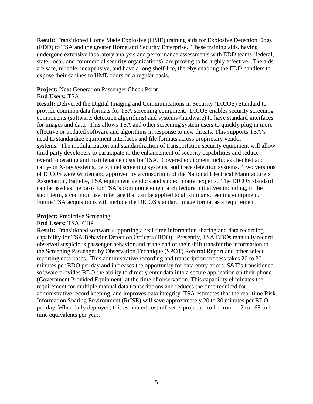**Result:** Transitioned Home Made Explosive (HME) training aids for Explosive Detection Dogs (EDD) to TSA and the greater Homeland Security Enterprise. These training aids, having undergone extensive laboratory analysis and performance assessments with EDD teams (federal, state, local, and commercial security organizations), are proving to be highly effective. The aids are safe, reliable, inexpensive, and have a long shelf-life, thereby enabling the EDD handlers to expose their canines to HME odors on a regular basis.

#### **Project:** Next Generation Passenger Check Point

#### **End Users:** TSA

**Result:** Delivered the Digital Imaging and Communications in Security (DICOS) Standard to provide common data formats for TSA screening equipment. DICOS enables security screening components (software, detection algorithms) and systems (hardware) to have standard interfaces for images and data. This allows TSA and other screening system users to quickly plug in more effective or updated software and algorithms in response to new threats. This supports TSA's need to standardize equipment interfaces and file formats across proprietary vendor systems. The modularization and standardization of transportation security equipment will allow third party developers to participate in the enhancement of security capabilities and reduce overall operating and maintenance costs for TSA. Covered equipment includes checked and carry-on X-ray systems, personnel screening systems, and trace detection systems. Two versions of DICOS were written and approved by a consortium of the National Electrical Manufacturers Association, Battelle, TSA equipment vendors and subject matter experts. The DICOS standard can be used as the basis for TSA's common element architecture initiatives including, in the short term, a common user interface that can be applied to all similar screening equipment. Future TSA acquisitions will include the DICOS standard image format as a requirement.

#### **Project:** Predictive Screening

#### **End Users:** TSA, CBP

**Result:** Transitioned software supporting a real-time information sharing and data recording capability for TSA Behavior Detection Officers (BDO). Presently, TSA BDOs manually record observed suspicious passenger behavior and at the end of their shift transfer the information to the Screening Passenger by Observation Technique (SPOT) Referral Report and other select reporting data bases. This administrative recording and transcription process takes 20 to 30 minutes per BDO per day and increases the opportunity for data entry errors. S&T's transitioned software provides BDO the ability to directly enter data into a secure application on their phone (Government Provided Equipment) at the time of observation. This capability eliminates the requirement for multiple manual data transcriptions and reduces the time required for administrative record keeping, and improves data integrity. TSA estimates that the real-time Risk Information Sharing Environment (RrISE) will save approximately 20 to 30 minutes per BDO per day. When fully deployed, this estimated cost off-set is projected to be from 112 to 168 fulltime equivalents per year.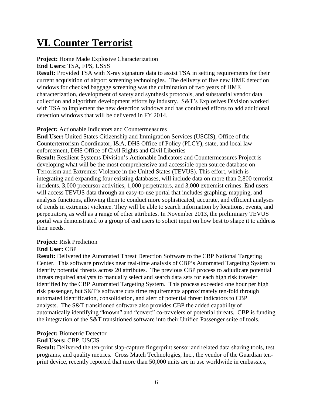# **VI. Counter Terrorist**

# **Project:** Home Made Explosive Characterization

**End Users:** TSA, FPS, USSS

**Result:** Provided TSA with X-ray signature data to assist TSA in setting requirements for their current acquisition of airport screening technologies. The delivery of five new HME detection windows for checked baggage screening was the culmination of two years of HME characterization, development of safety and synthesis protocols, and substantial vendor data collection and algorithm development efforts by industry. S&T's Explosives Division worked with TSA to implement the new detection windows and has continued efforts to add additional detection windows that will be delivered in FY 2014.

# **Project:** Actionable Indicators and Countermeasures

**End User:** United States Citizenship and Immigration Services (USCIS), Office of the Counterterrorism Coordinator, I&A, DHS Office of Policy (PLCY), state, and local law enforcement, DHS Office of Civil Rights and Civil Liberties **Result:** Resilient Systems Division's Actionable Indicators and Countermeasures Project is developing what will be the most comprehensive and accessible open source database on Terrorism and Extremist Violence in the United States (TEVUS). This effort, which is integrating and expanding four existing databases, will include data on more than 2,800 terrorist incidents, 3,000 precursor activities, 1,000 perpetrators, and 3,000 extremist crimes. End users will access TEVUS data through an easy-to-use portal that includes graphing, mapping, and analysis functions, allowing them to conduct more sophisticated, accurate, and efficient analyses of trends in extremist violence. They will be able to search information by locations, events, and perpetrators, as well as a range of other attributes. In November 2013, the preliminary TEVUS portal was demonstrated to a group of end users to solicit input on how best to shape it to address their needs.

# **Project:** Risk Prediction

# **End User:** CBP

**Result:** Delivered the Automated Threat Detection Software to the CBP National Targeting Center. This software provides near real-time analysis of CBP's Automated Targeting System to identify potential threats across 20 attributes. The previous CBP process to adjudicate potential threats required analysts to manually select and search data sets for each high risk traveler identified by the CBP Automated Targeting System. This process exceeded one hour per high risk passenger, but S&T's software cuts time requirements approximately ten-fold through automated identification, consolidation, and alert of potential threat indicators to CBP analysts. The S&T transitioned software also provides CBP the added capability of automatically identifying "known" and "covert" co-travelers of potential threats. CBP is funding the integration of the S&T transitioned software into their Unified Passenger suite of tools.

# **Project:** Biometric Detector

# **End Users:** CBP, USCIS

**Result:** Delivered the ten-print slap-capture fingerprint sensor and related data sharing tools, test programs, and quality metrics. Cross Match Technologies, Inc., the vendor of the Guardian tenprint device, recently reported that more than 50,000 units are in use worldwide in embassies,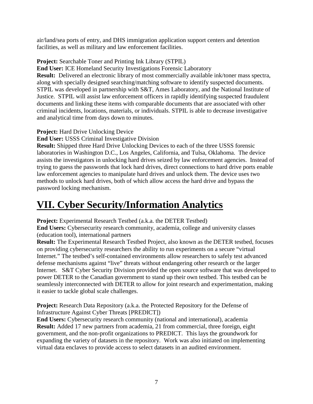air/land/sea ports of entry, and DHS immigration application support centers and detention facilities, as well as military and law enforcement facilities.

# **Project:** Searchable Toner and Printing Ink Library (STPIL)

**End User:** ICE Homeland Security Investigations Forensic Laboratory

**Result:** Delivered an electronic library of most commercially available ink/toner mass spectra, along with specially designed searching/matching software to identify suspected documents. STPIL was developed in partnership with S&T, Ames Laboratory, and the National Institute of Justice. STPIL will assist law enforcement officers in rapidly identifying suspected fraudulent documents and linking these items with comparable documents that are associated with other criminal incidents, locations, materials, or individuals. STPIL is able to decrease investigative and analytical time from days down to minutes.

**Project:** Hard Drive Unlocking Device

**End User:** USSS Criminal Investigative Division

**Result:** Shipped three Hard Drive Unlocking Devices to each of the three USSS forensic laboratories in Washington D.C., Los Angeles, California, and Tulsa, Oklahoma. The device assists the investigators in unlocking hard drives seized by law enforcement agencies. Instead of trying to guess the passwords that lock hard drives, direct connections to hard drive ports enable law enforcement agencies to manipulate hard drives and unlock them. The device uses two methods to unlock hard drives, both of which allow access the hard drive and bypass the password locking mechanism.

# **VII. Cyber Security/Information Analytics**

**Project:** Experimental Research Testbed (a.k.a. the DETER Testbed)

**End Users:** Cybersecurity research community, academia, college and university classes (education tool), international partners

**Result:** The Experimental Research Testbed Project, also known as the DETER testbed, focuses on providing cybersecurity researchers the ability to run experiments on a secure "virtual Internet." The testbed's self-contained environments allow researchers to safely test advanced defense mechanisms against "live" threats without endangering other research or the larger Internet. S&T Cyber Security Division provided the open source software that was developed to power DETER to the Canadian government to stand up their own testbed. This testbed can be seamlessly interconnected with DETER to allow for joint research and experimentation, making it easier to tackle global scale challenges.

**Project:** Research Data Repository (a.k.a. the Protected Repository for the Defense of Infrastructure Against Cyber Threats [PREDICT])

**End Users:** Cybersecurity research community (national and international), academia **Result:** Added 17 new partners from academia, 21 from commercial, three foreign, eight government, and the non-profit organizations to PREDICT. This lays the groundwork for expanding the variety of datasets in the repository. Work was also initiated on implementing virtual data enclaves to provide access to select datasets in an audited environment.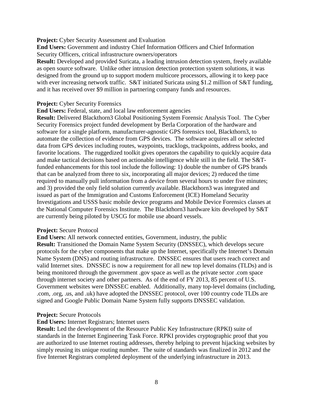#### **Project:** Cyber Security Assessment and Evaluation

**End Users:** Government and industry Chief Information Officers and Chief Information Security Officers, critical infrastructure owners/operators

**Result:** Developed and provided Suricata*,* a leading intrusion detection system, freely available as open source software. Unlike other intrusion detection protection system solutions, it was designed from the ground up to support modern multicore processors, allowing it to keep pace with ever increasing network traffic. S&T initiated Suricata using \$1.2 million of S&T funding, and it has received over \$9 million in partnering company funds and resources.

#### **Project:** Cyber Security Forensics

#### **End Users:** Federal, state, and local law enforcement agencies

**Result:** Delivered Blackthorn3 Global Positioning System Forensic Analysis Tool. The Cyber Security Forensics project funded development by Berla Corporation of the hardware and software for a single platform, manufacturer-agnostic GPS forensics tool, Blackthorn3, to automate the collection of evidence from GPS devices. The software acquires all or selected data from GPS devices including routes, waypoints, tracklogs, trackpoints, address books, and favorite locations. The ruggedized toolkit gives operators the capability to quickly acquire data and make tactical decisions based on actionable intelligence while still in the field. The S&Tfunded enhancements for this tool include the following: 1) double the number of GPS brands that can be analyzed from three to six, incorporating all major devices; 2) reduced the time required to manually pull information from a device from several hours to under five minutes; and 3) provided the only field solution currently available. Blackthorn3 was integrated and issued as part of the Immigration and Customs Enforcement (ICE) Homeland Security Investigations and USSS basic mobile device programs and Mobile Device Forensics classes at the National Computer Forensics Institute. The Blackthorn3 hardware kits developed by S&T are currently being piloted by USCG for mobile use aboard vessels.

#### **Project:** Secure Protocol

**End Users:** All network connected entities, Government, industry, the public **Result:** Transitioned the Domain Name System Security (DNSSEC), which develops secure protocols for the cyber components that make up the Internet, specifically the Internet's Domain Name System (DNS) and routing infrastructure. DNSSEC ensures that users reach correct and valid Internet sites. DNSSEC is now a requirement for all new top level domains (TLDs) and is being monitored through the government .gov space as well as the private sector .com space through internet society and other partners. As of the end of FY 2013, 85 percent of U.S. Government websites were DNSSEC enabled. Additionally, many top-level domains (including, .com, .org, .us, and .uk) have adopted the DNSSEC protocol, over 100 country code TLDs are signed and Google Public Domain Name System fully supports DNSSEC validation.

#### **Project:** Secure Protocols

#### **End Users:** Internet Registrars; Internet users

**Result:** Led the development of the Resource Public Key Infrastructure (RPKI) suite of standards in the Internet Engineering Task Force. RPKI provides cryptographic proof that you are authorized to use Internet routing addresses, thereby helping to prevent hijacking websites by simply reusing its unique routing number. The suite of standards was finalized in 2012 and the five Internet Registrars completed deployment of the underlying infrastructure in 2013.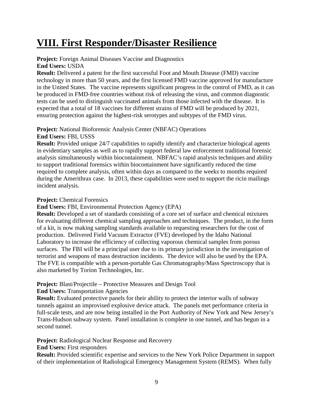# **VIII. First Responder/Disaster Resilience**

#### **Project:** Foreign Animal Diseases Vaccine and Diagnostics **End Users:** USDA

**Result:** Delivered a patent for the first successful Foot and Mouth Disease (FMD) vaccine technology in more than 50 years, and the first licensed FMD vaccine approved for manufacture in the United States. The vaccine represents significant progress in the control of FMD, as it can be produced in FMD-free countries without risk of releasing the virus, and common diagnostic tests can be used to distinguish vaccinated animals from those infected with the disease. It is expected that a total of 18 vaccines for different strains of FMD will be produced by 2021, ensuring protection against the highest-risk serotypes and subtypes of the FMD virus.

#### **Project:** National Bioforensic Analysis Center (NBFAC) Operations **End Users:** FBI, USSS

**Result:** Provided unique 24/7 capabilities to rapidly identify and characterize biological agents in evidentiary samples as well as to rapidly support federal law enforcement traditional forensic analysis simultaneously within biocontainment. NBFAC's rapid analysis techniques and ability to support traditional forensics within biocontainment have significantly reduced the time required to complete analysis, often within days as compared to the weeks to months required during the Amerithrax case. In 2013, these capabilities were used to support the ricin mailings incident analysis.

### **Project:** Chemical Forensics

**End Users:** FBI, Environmental Protection Agency (EPA)

**Result:** Developed a set of standards consisting of a core set of surface and chemical mixtures for evaluating different chemical sampling approaches and techniques. The product, in the form of a kit, is now making sampling standards available to requesting researchers for the cost of production. Delivered Field Vacuum Extractor (FVE) developed by the Idaho National Laboratory to increase the efficiency of collecting vaporous chemical samples from porous surfaces. The FBI will be a principal user due to its primary jurisdiction in the investigation of terrorist and weapons of mass destruction incidents. The device will also be used by the EPA. The FVE is compatible with a person-portable Gas Chromatography/Mass Spectroscopy that is also marketed by Torion Technologies, Inc.

# **Project:** Blast/Projectile – Protective Measures and Design Tool

**End Users:** Transportation Agencies

**Result:** Evaluated protective panels for their ability to protect the interior walls of subway tunnels against an improvised explosive device attack. The panels met performance criteria in full-scale tests, and are now being installed in the Port Authority of New York and New Jersey's Trans-Hudson subway system. Panel installation is complete in one tunnel, and has begun in a second tunnel.

# **Project:** Radiological Nuclear Response and Recovery

**End Users:** First responders

**Result:** Provided scientific expertise and services to the New York Police Department in support of their implementation of Radiological Emergency Management System (REMS). When fully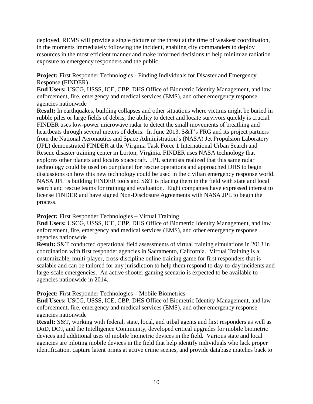deployed, REMS will provide a single picture of the threat at the time of weakest coordination, in the moments immediately following the incident, enabling city commanders to deploy resources in the most efficient manner and make informed decisions to help minimize radiation exposure to emergency responders and the public.

Project: First Responder Technologies - Finding Individuals for Disaster and Emergency Response (FINDER)

**End Users:** USCG, USSS, ICE, CBP, DHS Office of Biometric Identity Management, and law enforcement, fire, emergency and medical services (EMS), and other emergency response agencies nationwide

**Result:** In earthquakes, building collapses and other situations where victims might be buried in rubble piles or large fields of debris, the ability to detect and locate survivors quickly is crucial. FINDER uses low-power microwave radar to detect the small movements of breathing and heartbeats through several meters of debris. In June 2013, S&T's FRG and its project partners from the National Aeronautics and Space Administration's (NASA) Jet Propulsion Laboratory (JPL) demonstrated FINDER at the Virginia Task Force 1 International Urban Search and Rescue disaster training center in Lorton, Virginia. FINDER uses NASA technology that explores other planets and locates spacecraft. JPL scientists realized that this same radar technology could be used on our planet for rescue operations and approached DHS to begin discussions on how this new technology could be used in the civilian emergency response world. NASA JPL is building FINDER tools and S&T is placing them in the field with state and local search and rescue teams for training and evaluation. Eight companies have expressed interest to license FINDER and have signed Non-Disclosure Agreements with NASA JPL to begin the process.

**Project:** First Responder Technologies **–** Virtual Training

**End Users:** USCG, USSS, ICE, CBP, DHS Office of Biometric Identity Management, and law enforcement, fire, emergency and medical services (EMS), and other emergency response agencies nationwide

**Result:** S&T conducted operational field assessments of virtual training simulations in 2013 in coordination with first responder agencies in Sacramento, California. Virtual Training is a customizable, multi-player, cross-discipline online training game for first responders that is scalable and can be tailored for any jurisdiction to help them respond to day-to-day incidents and large-scale emergencies. An active shooter gaming scenario is expected to be available to agencies nationwide in 2014.

# **Project:** First Responder Technologies **–** Mobile Biometrics

**End Users:** USCG, USSS, ICE, CBP, DHS Office of Biometric Identity Management, and law enforcement, fire, emergency and medical services (EMS), and other emergency response agencies nationwide

**Result:** S&T, working with federal, state, local, and tribal agents and first responders as well as DoD, DOJ, and the Intelligence Community, developed critical upgrades for mobile biometric devices and additional uses of mobile biometric devices in the field. Various state and local agencies are piloting mobile devices in the field that help identify individuals who lack proper identification, capture latent prints at active crime scenes, and provide database matches back to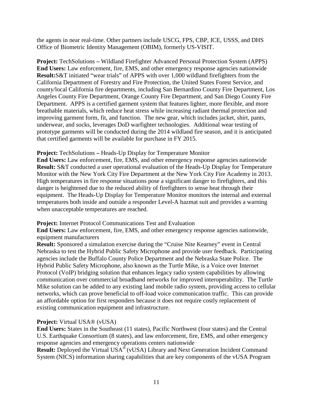the agents in near real-time. Other partners include USCG, FPS, CBP, ICE, USSS, and DHS Office of Biometric Identity Management (OBIM), formerly US-VISIT.

**Project:** TechSolutions **–** Wildland Firefighter Advanced Personal Protection System (APPS) **End Users:** Law enforcement, fire, EMS, and other emergency response agencies nationwide **Result:**S&T initiated "wear trials" of APPS with over 1,000 wildland firefighters from the California Department of Forestry and Fire Protection, the United States Forest Service, and county/local California fire departments, including San Bernardino County Fire Department, Los Angeles County Fire Department, Orange County Fire Department, and San Diego County Fire Department. APPS is a certified garment system that features lighter, more flexible, and more breathable materials, which reduce heat stress while increasing radiant thermal protection and improving garment form, fit, and function. The new gear, which includes jacket, shirt, pants, underwear, and socks, leverages DoD warfighter technologies. Additional wear testing of prototype garments will be conducted during the 2014 wildland fire season, and it is anticipated that certified garments will be available for purchase in FY 2015.

#### **Project:** TechSolutions **–** Heads-Up Display for Temperature Monitor

**End Users:** Law enforcement, fire, EMS, and other emergency response agencies nationwide **Result:** S&T conducted a user operational evaluation of the Heads-Up Display for Temperature Monitor with the New York City Fire Department at the New York City Fire Academy in 2013. High temperatures in fire response situations pose a significant danger to firefighters, and this danger is heightened due to the reduced ability of firefighters to sense heat through their equipment. The Heads-Up Display for Temperature Monitor monitors the internal and external temperatures both inside and outside a responder Level-A hazmat suit and provides a warning when unacceptable temperatures are reached.

#### **Project:** Internet Protocol Communications Test and Evaluation

**End Users:** Law enforcement, fire, EMS, and other emergency response agencies nationwide, equipment manufacturers

**Result:** Sponsored a simulation exercise during the "Cruise Nite Kearney" event in Central Nebraska to test the Hybrid Public Safety Microphone and provide user feedback. Participating agencies include the Buffalo County Police Department and the Nebraska State Police. The Hybrid Public Safety Microphone, also known as the Turtle Mike, is a Voice over Internet Protocol (VoIP) bridging solution that enhances legacy radio system capabilities by allowing communication over commercial broadband networks for improved interoperability. The Turtle Mike solution can be added to any existing land mobile radio system, providing access to cellular networks, which can prove beneficial to off-load voice communication traffic. This can provide an affordable option for first responders because it does not require costly replacement of existing communication equipment and infrastructure.

# **Project:** Virtual USA® (vUSA)

**End Users:** States in the Southeast (11 states), Pacific Northwest (four states) and the Central U.S. Earthquake Consortium (8 states), and law enforcement, fire, EMS, and other emergency response agencies and emergency operations centers nationwide

**Result:** Deployed the Virtual USA<sup>®</sup> (vUSA) Library and Next Generation Incident Command System (NICS) information sharing capabilities that are key components of the vUSA Program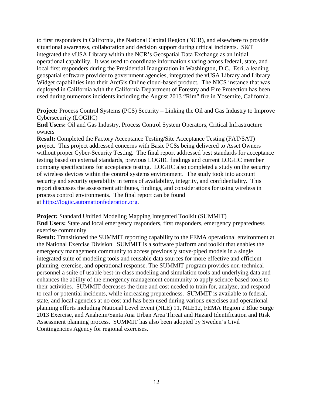to first responders in California, the National Capital Region (NCR), and elsewhere to provide situational awareness, collaboration and decision support during critical incidents. S&T integrated the vUSA Library within the NCR's Geospatial Data Exchange as an initial operational capability. It was used to coordinate information sharing across federal, state, and local first responders during the Presidential Inauguration in Washington, D.C. Esri, a leading geospatial software provider to government agencies, integrated the vUSA Library and Library Widget capabilities into their ArcGis Online cloud-based product. The NICS instance that was deployed in California with the California Department of Forestry and Fire Protection has been used during numerous incidents including the August 2013 "Rim" fire in Yosemite, California.

**Project:** Process Control Systems (PCS) Security – Linking the Oil and Gas Industry to Improve Cybersecurity (LOGIIC)

**End Users:** Oil and Gas Industry, Process Control System Operators, Critical Infrastructure owners

**Result:** Completed the Factory Acceptance Testing/Site Acceptance Testing (FAT/SAT) project. This project addressed concerns with Basic PCSs being delivered to Asset Owners without proper Cyber-Security Testing. The final report addressed best standards for acceptance testing based on external standards, previous LOGIIC findings and current LOGIIC member company specifications for acceptance testing. LOGIIC also completed a study on the security of wireless devices within the control systems environment. The study took into account security and security operability in terms of availability, integrity, and confidentiality. This report discusses the assessment attributes, findings, and considerations for using wireless in process control environments. The final report can be found at [https://logiic.automationfederation.org.](https://logiic.automationfederation.org/)

**Project:** Standard Unified Modeling Mapping Integrated Toolkit (SUMMIT)

**End Users:** State and local emergency responders, first responders, emergency preparedness exercise community

**Result:** Transitioned the SUMMIT reporting capability to the FEMA operational environment at the National Exercise Division. SUMMIT is a software platform and toolkit that enables the emergency management community to access previously stove-piped models in a single integrated suite of modeling tools and reusable data sources for more effective and efficient planning, exercise, and operational response. The SUMMIT program provides non-technical personnel a suite of usable best-in-class modeling and simulation tools and underlying data and enhances the ability of the emergency management community to apply science-based tools to their activities. SUMMIT decreases the time and cost needed to train for, analyze, and respond to real or potential incidents, while increasing preparedness. SUMMIT is available to federal, state, and local agencies at no cost and has been used during various exercises and operational planning efforts including National Level Event (NLE) 11, NLE12, FEMA Region 2 Blue Surge 2013 Exercise, and Anaheim/Santa Ana Urban Area Threat and Hazard Identification and Risk Assessment planning process. SUMMIT has also been adopted by Sweden's Civil Contingencies Agency for regional exercises.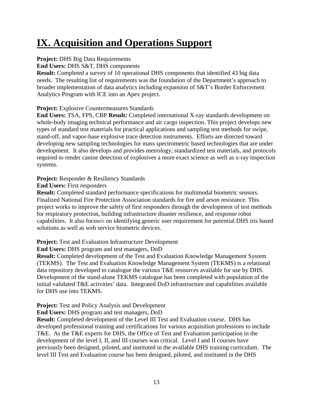# **IX. Acquisition and Operations Support**

# **Project: DHS Big Data Requirements**

**End Users:** DHS S&T, DHS components

**Result:** Completed a survey of 10 operational DHS components that identified 43 big data needs. The resulting list of requirements was the foundation of the Department's approach to broader implementation of data analytics including expansion of S&T's Border Enforcement Analytics Program with ICE into an Apex project.

# **Project:** Explosive Countermeasures Standards

**End Users:** TSA, FPS, CBP **Result:** Completed international X-ray standards development on whole-body imaging technical performance and air cargo inspection. This project develops new types of standard test materials for practical applications and sampling test methods for swipe, stand-off, and vapor-base explosive trace detection instruments. Efforts are directed toward developing new sampling technologies for mass spectrometric based technologies that are under development. It also develops and provides metrology, standardized test materials, and protocols required to render canine detection of explosives a more exact science as well as x-ray inspection systems.

# **Project:** Responder & Resiliency Standards

# **End Users:** First responders

**Result:** Completed standard performance specifications for multimodal biometric sensors. Finalized National Fire Protection Association standards for fire and arson resistance. This project works to improve the safety of first responders through the development of test methods for respiratory protection, building infrastructure disaster resilience, and response robot capabilities. It also focuses on identifying generic user requirement for potential DHS iris based solutions as well as web service biometric devices.

# **Project:** Test and Evaluation Infrastructure Development

**End Users:** DHS program and test managers, DoD

**Result:** Completed development of the Test and Evaluation Knowledge Management System (TEKMS). The Test and Evaluation Knowledge Management System (TEKMS) is a relational data repository developed to catalogue the various T&E resources available for use by DHS. Development of the stand-alone TEKMS catalogue has been completed with population of the initial validated T&E activities' data. Integrated DoD infrastructure and capabilities available for DHS use into TEKMS.

# **Project:** Test and Policy Analysis and Development

**End Users:** DHS program and test managers, DoD

**Result:** Completed development of the Level III Test and Evaluation course. DHS has developed professional training and certifications for various acquisition professions to include T&E. As the T&E experts for DHS, the Office of Test and Evaluation participation in the development of the level I, II, and III courses was critical. Level I and II courses have previously been designed, piloted, and instituted in the available DHS training curriculum. The level III Test and Evaluation course has been designed, piloted, and instituted in the DHS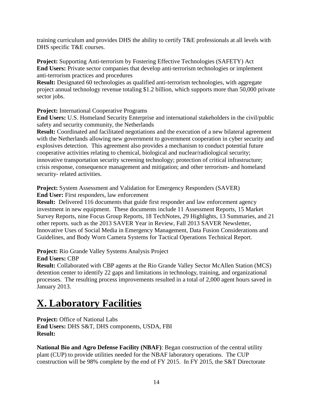training curriculum and provides DHS the ability to certify T&E professionals at all levels with DHS specific T&E courses.

**Project:** Supporting Anti-terrorism by Fostering Effective Technologies (SAFETY) Act **End Users:** Private sector companies that develop anti-terrorism technologies or implement anti-terrorism practices and procedures

**Result:** Designated 60 technologies as qualified anti-terrorism technologies, with aggregate project annual technology revenue totaling \$1.2 billion, which supports more than 50,000 private sector jobs.

**Project:** International Cooperative Programs

**End Users:** U.S. Homeland Security Enterprise and international stakeholders in the civil/public safety and security community, the Netherlands

**Result:** Coordinated and facilitated negotiations and the execution of a new bilateral agreement with the Netherlands allowing new government to government cooperation in cyber security and explosives detection. This agreement also provides a mechanism to conduct potential future cooperative activities relating to chemical, biological and nuclear/radiological security; innovative transportation security screening technology; protection of critical infrastructure; crisis response, consequence management and mitigation; and other terrorism- and homeland security- related activities.

**Project:** System Assessment and Validation for Emergency Responders (SAVER) **End User:** First responders, law enforcement

**Result:** Delivered 116 documents that guide first responder and law enforcement agency investment in new equipment. These documents include 11 Assessment Reports, 15 Market Survey Reports, nine Focus Group Reports, 18 TechNotes, 29 Highlights, 13 Summaries, and 21 other reports. such as the 2013 SAVER Year in Review, Fall 2013 SAVER Newsletter, Innovative Uses of Social Media in Emergency Management, Data Fusion Considerations and Guidelines, and Body Worn Camera Systems for Tactical Operations Technical Report.

**Project:** Rio Grande Valley Systems Analysis Project **End Users:** CBP

**Result:** Collaborated with CBP agents at the Rio Grande Valley Sector McAllen Station (MCS) detention center to identify 22 gaps and limitations in technology, training, and organizational processes. The resulting process improvements resulted in a total of 2,000 agent hours saved in January 2013.

# **X. Laboratory Facilities**

**Project:** Office of National Labs **End Users:** DHS S&T, DHS components, USDA, FBI **Result:**

**National Bio and Agro Defense Facility (NBAF)**: Began construction of the central utility plant (CUP) to provide utilities needed for the NBAF laboratory operations. The CUP construction will be 98% complete by the end of FY 2015. In FY 2015, the S&T Directorate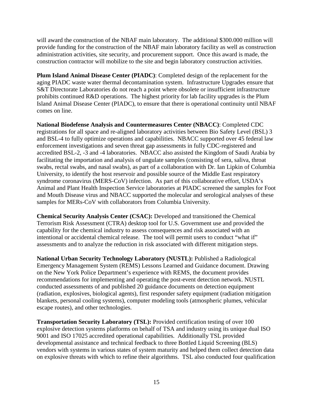will award the construction of the NBAF main laboratory. The additional \$300.000 million will provide funding for the construction of the NBAF main laboratory facility as well as construction administration activities, site security, and procurement support. Once this award is made, the construction contractor will mobilize to the site and begin laboratory construction activities.

**Plum Island Animal Disease Center (PIADC)**: Completed design of the replacement for the aging PIADC waste water thermal decontamination system. Infrastructure Upgrades ensure that S&T Directorate Laboratories do not reach a point where obsolete or insufficient infrastructure prohibits continued R&D operations. The highest priority for lab facility upgrades is the Plum Island Animal Disease Center (PIADC), to ensure that there is operational continuity until NBAF comes on line.

**National Biodefense Analysis and Countermeasures Center (NBACC)**: Completed CDC registrations for all space and re-aligned laboratory activities between Bio Safety Level (BSL) 3 and BSL-4 to fully optimize operations and capabilities. NBACC supported over 45 federal law enforcement investigations and seven threat gap assessments in fully CDC-registered and accredited BSL-2, -3 and -4 laboratories. NBACC also assisted the Kingdom of Saudi Arabia by facilitating the importation and analysis of ungulate samples (consisting of sera, saliva, throat swabs, rectal swabs, and nasal swabs), as part of a collaboration with Dr. Ian Lipkin of Columbia University, to identify the host reservoir and possible source of the Middle East respiratory syndrome coronavirus (MERS-CoV) infection. As part of this collaborative effort, USDA's Animal and Plant Health Inspection Service laboratories at PIADC screened the samples for Foot and Mouth Disease virus and NBACC supported the molecular and serological analyses of these samples for MERs-CoV with collaborators from Columbia University.

**Chemical Security Analysis Center (CSAC):** Developed and transitioned the Chemical Terrorism Risk Assessment (CTRA) desktop tool for U.S. Government use and provided the capability for the chemical industry to assess consequences and risk associated with an intentional or accidental chemical release. The tool will permit users to conduct "what if" assessments and to analyze the reduction in risk associated with different mitigation steps.

**National Urban Security Technology Laboratory (NUSTL):** Published a Radiological Emergency Management System (REMS) Lessons Learned and Guidance document. Drawing on the New York Police Department's experience with REMS, the document provides recommendations for implementing and operating the post-event detection network. NUSTL conducted assessments of and published 20 guidance documents on detection equipment (radiation, explosives, biological agents), first responder safety equipment (radiation mitigation blankets, personal cooling systems), computer modeling tools (atmospheric plumes, vehicular escape routes), and other technologies.

**Transportation Security Laboratory (TSL):** Provided certification testing of over 100 explosive detection systems platforms on behalf of TSA and industry using its unique dual ISO 9001 and ISO 17025 accredited operational capabilities. Additionally TSL provided developmental assistance and technical feedback to three Bottled Liquid Screening (BLS) vendors with systems in various states of system maturity and helped them collect detection data on explosive threats with which to refine their algorithms. TSL also conducted four qualification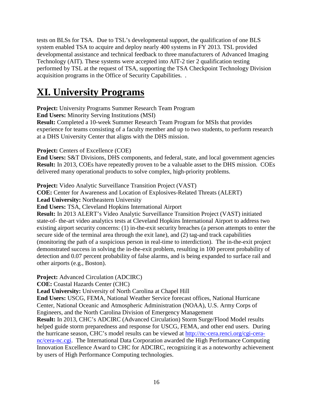tests on BLSs for TSA. Due to TSL's developmental support, the qualification of one BLS system enabled TSA to acquire and deploy nearly 400 systems in FY 2013. TSL provided developmental assistance and technical feedback to three manufacturers of Advanced Imaging Technology (AIT). These systems were accepted into AIT-2 tier 2 qualification testing performed by TSL at the request of TSA, supporting the TSA Checkpoint Technology Division acquisition programs in the Office of Security Capabilities. .

# **XI. University Programs**

**Project:** University Programs Summer Research Team Program

**End Users:** Minority Serving Institutions (MSI)

**Result:** Completed a 10-week Summer Research Team Program for MSIs that provides experience for teams consisting of a faculty member and up to two students, to perform research at a DHS University Center that aligns with the DHS mission.

**Project:** Centers of Excellence (COE)

**End Users:** S&T Divisions, DHS components, and federal, state, and local government agencies **Result:** In 2013, COEs have repeatedly proven to be a valuable asset to the DHS mission. COEs delivered many operational products to solve complex, high-priority problems.

**Project:** Video Analytic Surveillance Transition Project (VAST)

**COE:** Center for Awareness and Location of Explosives-Related Threats (ALERT)

**Lead University:** Northeastern University

**End Users:** TSA, Cleveland Hopkins International Airport

**Result:** In 2013 ALERT's Video Analytic Surveillance Transition Project (VAST) initiated state-of- the-art video analytics tests at Cleveland Hopkins International Airport to address two existing airport security concerns: (1) in-the-exit security breaches (a person attempts to enter the secure side of the terminal area through the exit lane), and (2) tag-and track capabilities (monitoring the path of a suspicious person in real-time to interdiction). The in-the-exit project demonstrated success in solving the in-the-exit problem, resulting in 100 percent probability of detection and 0.07 percent probability of false alarms, and is being expanded to surface rail and other airports (e.g., Boston).

**Project:** Advanced Circulation (ADCIRC)

**COE:** Coastal Hazards Center (CHC)

**Lead University:** University of North Carolina at Chapel Hill

**End Users:** USCG, FEMA, National Weather Service forecast offices, National Hurricane Center, National Oceanic and Atmospheric Administration (NOAA), U.S. Army Corps of Engineers, and the North Carolina Division of Emergency Management

**Result:** In 2013, CHC's ADCIRC (Advanced Circulation) Storm Surge/Flood Model results helped guide storm preparedness and response for USCG, FEMA, and other end users. During the hurricane season, CHC's model results can be viewed at [http://nc-cera.renci.org/cgi-cera](http://nc-cera.renci.org/cgi-cera-nc/cera-nc.cgi)[nc/cera-nc.cgi.](http://nc-cera.renci.org/cgi-cera-nc/cera-nc.cgi) The International Data Corporation awarded the High Performance Computing Innovation Excellence Award to CHC for ADCIRC, recognizing it as a noteworthy achievement by users of High Performance Computing technologies.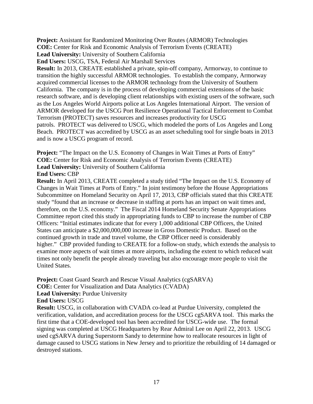**Project:** Assistant for Randomized Monitoring Over Routes (ARMOR) Technologies

**COE:** Center for Risk and Economic Analysis of Terrorism Events (CREATE)

**Lead University:** University of Southern California

**End Users:** USCG, TSA, Federal Air Marshall Services

**Result:** In 2013, CREATE established a private, spin-off company, Armorway, to continue to transition the highly successful ARMOR technologies. To establish the company, Armorway acquired commercial licenses to the ARMOR technology from the University of Southern California. The company is in the process of developing commercial extensions of the basic research software, and is developing client relationships with existing users of the software, such as the Los Angeles World Airports police at Los Angeles International Airport. The version of ARMOR developed for the USCG Port Resilience Operational Tactical Enforcement to Combat Terrorism (PROTECT) saves resources and increases productivity for USCG patrols. PROTECT was delivered to USCG, which modeled the ports of Los Angeles and Long Beach. PROTECT was accredited by USCG as an asset scheduling tool for single boats in 2013 and is now a USCG program of record.

**Project:** "The Impact on the U.S. Economy of Changes in Wait Times at Ports of Entry" **COE:** Center for Risk and Economic Analysis of Terrorism Events (CREATE)

**Lead University:** University of Southern California

**End Users:** CBP

**Result:** In April 2013, CREATE completed a study titled "The Impact on the U.S. Economy of Changes in Wait Times at Ports of Entry." In joint testimony before the House Appropriations Subcommittee on Homeland Security on April 17, 2013, CBP officials stated that this CREATE study "found that an increase or decrease in staffing at ports has an impact on wait times and, therefore, on the U.S. economy." The Fiscal 2014 Homeland Security Senate Appropriations Committee report cited this study in appropriating funds to CBP to increase the number of CBP Officers: "Initial estimates indicate that for every 1,000 additional CBP Officers, the United States can anticipate a \$2,000,000,000 increase in Gross Domestic Product. Based on the continued growth in trade and travel volume, the CBP Officer need is considerably higher." CBP provided funding to CREATE for a follow-on study, which extends the analysis to examine more aspects of wait times at more airports, including the extent to which reduced wait times not only benefit the people already traveling but also encourage more people to visit the United States.

**Project:** Coast Guard Search and Rescue Visual Analytics (cgSARVA)

**COE:** Center for Visualization and Data Analytics (CVADA)

Lead University: Purdue University

**End Users:** USCG

**Result:** USCG, in collaboration with CVADA co-lead at Purdue University, completed the verification, validation, and accreditation process for the USCG cgSARVA tool. This marks the first time that a COE-developed tool has been accredited for USCG-wide use. The formal signing was completed at USCG Headquarters by Rear Admiral Lee on April 22, 2013. USCG used cgSARVA during Superstorm Sandy to determine how to reallocate resources in light of damage caused to USCG stations in New Jersey and to prioritize the rebuilding of 14 damaged or destroyed stations.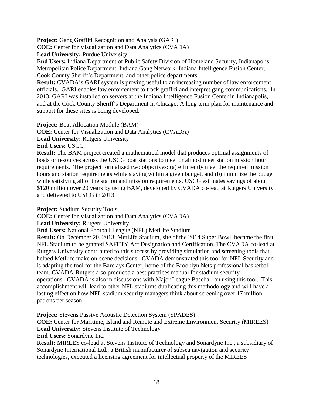**Project:** Gang Graffiti Recognition and Analysis (GARI)

**COE:** Center for Visualization and Data Analytics (CVADA)

Lead University: Purdue University

**End Users:** Indiana Department of Public Safety Division of Homeland Security, Indianapolis Metropolitan Police Department, Indiana Gang Network, Indiana Intelligence Fusion Center, Cook County Sheriff's Department, and other police departments

**Result:** CVADA's GARI system is proving useful to an increasing number of law enforcement officials. GARI enables law enforcement to track graffiti and interpret gang communications. In 2013, GARI was installed on servers at the Indiana Intelligence Fusion Center in Indianapolis, and at the Cook County Sheriff's Department in Chicago. A long term plan for maintenance and support for these sites is being developed.

**Project:** Boat Allocation Module (BAM) **COE:** Center for Visualization and Data Analytics (CVADA) **Lead University:** Rutgers University **End Users:** USCG

**Result:** The BAM project created a mathematical model that produces optimal assignments of boats or resources across the USCG boat stations to meet or almost meet station mission hour requirements. The project formalized two objectives: (a) efficiently meet the required mission hours and station requirements while staying within a given budget, and (b) minimize the budget while satisfying all of the station and mission requirements. USCG estimates savings of about \$120 million over 20 years by using BAM, developed by CVADA co-lead at Rutgers University and delivered to USCG in 2013.

**Project:** Stadium Security Tools

**COE:** Center for Visualization and Data Analytics (CVADA)

**Lead University:** Rutgers University

**End Users:** National Football League (NFL) MetLife Stadium

**Result:** On December 20, 2013, MetLife Stadium, site of the 2014 Super Bowl, became the first NFL Stadium to be granted SAFETY Act Designation and Certification. The CVADA co-lead at Rutgers University contributed to this success by providing simulation and screening tools that helped MetLife make on-scene decisions. CVADA demonstrated this tool for NFL Security and is adapting the tool for the Barclays Center, home of the Brooklyn Nets professional basketball team. CVADA-Rutgers also produced a best practices manual for stadium security operations. CVADA is also in discussions with Major League Baseball on using this tool. This accomplishment will lead to other NFL stadiums duplicating this methodology and will have a lasting effect on how NFL stadium security managers think about screening over 17 million patrons per season.

**Project:** Stevens Passive Acoustic Detection System (SPADES)

**COE:** Center for Maritime, Island and Remote and Extreme Environment Security (MIREES) **Lead University:** Stevens Institute of Technology

**End Users:** Sonardyne Inc.

**Result:** MIREES co-lead at Stevens Institute of Technology and Sonardyne Inc., a subsidiary of Sonardyne International Ltd., a British manufacturer of subsea navigation and security technologies, executed a licensing agreement for intellectual property of the MIREES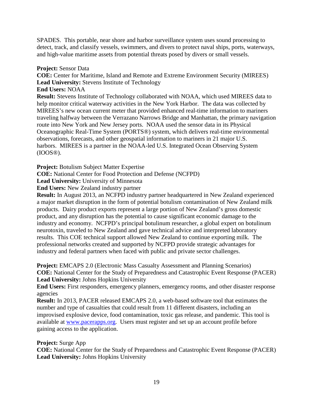SPADES. This portable, near shore and harbor surveillance system uses sound processing to detect, track, and classify vessels, swimmers, and divers to protect naval ships, ports, waterways, and high-value maritime assets from potential threats posed by divers or small vessels.

### **Project:** Sensor Data

**COE:** Center for Maritime, Island and Remote and Extreme Environment Security (MIREES) **Lead University:** Stevens Institute of Technology

**End Users:** NOAA

**Result:** Stevens Institute of Technology collaborated with NOAA, which used MIREES data to help monitor critical waterway activities in the New York Harbor. The data was collected by MIREES's new ocean current meter that provided enhanced real-time information to mariners traveling halfway between the Verrazano Narrows Bridge and Manhattan, the primary navigation route into New York and New Jersey ports. NOAA used the sensor data in its Physical Oceanographic Real-Time System (PORTS®) system, which delivers real-time environmental observations, forecasts, and other geospatial information to mariners in 21 major U.S. harbors. MIREES is a partner in the NOAA-led U.S. Integrated Ocean Observing System (IOOS®).

**Project:** Botulism Subject Matter Expertise

**COE:** National Center for Food Protection and Defense (NCFPD)

Lead University: University of Minnesota

**End Users:** New Zealand industry partner

**Result:** In August 2013, an NCFPD industry partner headquartered in New Zealand experienced a major market disruption in the form of potential botulism contamination of New Zealand milk products. Dairy product exports represent a large portion of New Zealand's gross domestic product, and any disruption has the potential to cause significant economic damage to the industry and economy. NCFPD's principal botulinum researcher, a global expert on botulinum neurotoxin, traveled to New Zealand and gave technical advice and interpreted laboratory results. This COE technical support allowed New Zealand to continue exporting milk. The professional networks created and supported by NCFPD provide strategic advantages for industry and federal partners when faced with public and private sector challenges.

**Project:** EMCAPS 2.0 (Electronic Mass Casualty Assessment and Planning Scenarios) **COE:** National Center for the Study of Preparedness and Catastrophic Event Response (PACER) Lead University: Johns Hopkins University

**End Users:** First responders, emergency planners, emergency rooms, and other disaster response agencies

**Result:** In 2013, PACER released EMCAPS 2.0, a web-based software tool that estimates the number and type of casualties that could result from 11 different disasters, including an improvised explosive device, food contamination, toxic gas release, and pandemic. This tool is available at [www.pacerapps.org.](http://www.pacerapps.org/) Users must register and set up an account profile before gaining access to the application.

#### **Project:** Surge App

**COE:** National Center for the Study of Preparedness and Catastrophic Event Response (PACER) **Lead University:** Johns Hopkins University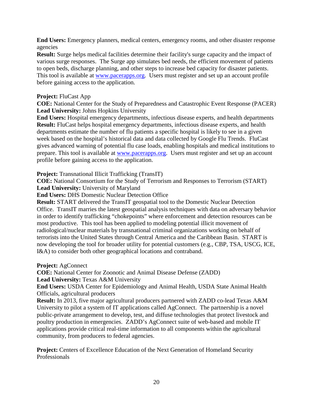**End Users:** Emergency planners, medical centers, emergency rooms, and other disaster response agencies

**Result:** Surge helps medical facilities determine their facility's surge capacity and the impact of various surge responses. The Surge app simulates bed needs, the efficient movement of patients to open beds, discharge planning, and other steps to increase bed capacity for disaster patients. This tool is available at [www.pacerapps.org.](http://www.pacerapps.org/) Users must register and set up an account profile before gaining access to the application.

### **Project:** FluCast App

**COE:** National Center for the Study of Preparedness and Catastrophic Event Response (PACER) Lead University: Johns Hopkins University

**End Users:** Hospital emergency departments, infectious disease experts, and health departments **Result:** FluCast helps hospital emergency departments, infectious disease experts, and health departments estimate the number of flu patients a specific hospital is likely to see in a given week based on the hospital's historical data and data collected by Google Flu Trends. FluCast gives advanced warning of potential flu case loads, enabling hospitals and medical institutions to prepare. This tool is available at [www.pacerapps.org.](http://www.pacerapps.org/) Users must register and set up an account profile before gaining access to the application.

**Project:** Transnational Illicit Trafficking (TransIT)

**COE:** National Consortium for the Study of Terrorism and Responses to Terrorism (START) **Lead University:** University of Maryland

**End Users:** DHS Domestic Nuclear Detection Office

**Result:** START delivered the TransIT geospatial tool to the Domestic Nuclear Detection Office. TransIT marries the latest geospatial analysis techniques with data on adversary behavior in order to identify trafficking "chokepoints" where enforcement and detection resources can be most productive. This tool has been applied to modeling potential illicit movement of radiological/nuclear materials by transnational criminal organizations working on behalf of terrorists into the United States through Central America and the Caribbean Basin. START is now developing the tool for broader utility for potential customers (e.g., CBP, TSA, USCG, ICE, I&A) to consider both other geographical locations and contraband.

**Project:** AgConnect

**COE:** National Center for Zoonotic and Animal Disease Defense (ZADD) **Lead University:** Texas A&M University

**End Users:** USDA Center for Epidemiology and Animal Health, USDA State Animal Health Officials, agricultural producers

**Result:** In 2013, five major agricultural producers partnered with ZADD co-lead Texas A&M University to pilot a system of IT applications called AgConnect. The partnership is a novel public-private arrangement to develop, test, and diffuse technologies that protect livestock and poultry production in emergencies. ZADD's AgConnect suite of web-based and mobile IT applications provide critical real-time information to all components within the agricultural community, from producers to federal agencies.

**Project:** Centers of Excellence Education of the Next Generation of Homeland Security Professionals